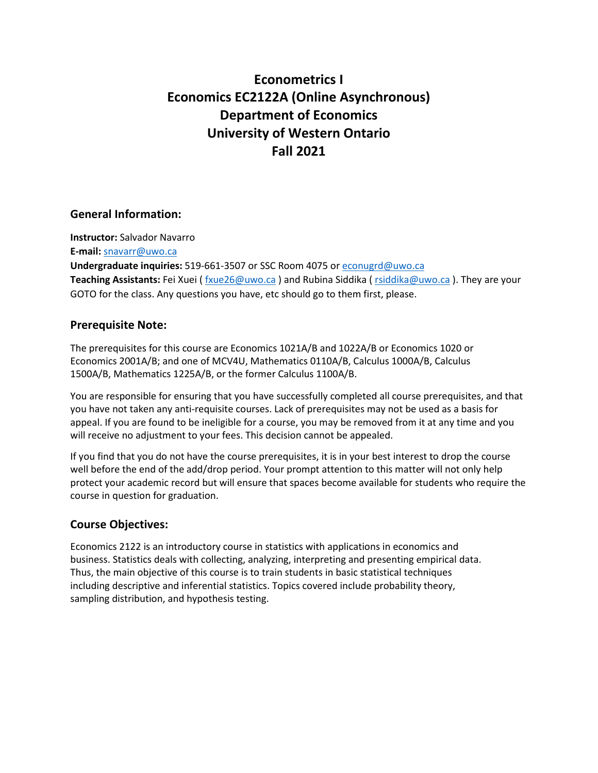# **Econometrics I Economics EC2122A (Online Asynchronous) Department of Economics University of Western Ontario Fall 2021**

# **General Information:**

**Instructor:** Salvador Navarro **E-mail:** [snavarr@uwo.ca](mailto:snavarr@uwo.ca) **Undergraduate inquiries:** 519-661-3507 or SSC Room 4075 o[r econugrd@uwo.ca](mailto:econugrd@uwo.ca) **Teaching Assistants:** Fei Xuei ( [fxue26@uwo.ca](mailto:fxue26@uwo.ca) ) and Rubina Siddika ( [rsiddika@uwo.ca](mailto:rsiddika@uwo.ca) ). They are your GOTO for the class. Any questions you have, etc should go to them first, please.

#### **Prerequisite Note:**

The prerequisites for this course are Economics 1021A/B and 1022A/B or Economics 1020 or Economics 2001A/B; and one of MCV4U, Mathematics 0110A/B, Calculus 1000A/B, Calculus 1500A/B, Mathematics 1225A/B, or the former Calculus 1100A/B.

You are responsible for ensuring that you have successfully completed all course prerequisites, and that you have not taken any anti-requisite courses. Lack of prerequisites may not be used as a basis for appeal. If you are found to be ineligible for a course, you may be removed from it at any time and you will receive no adjustment to your fees. This decision cannot be appealed.

If you find that you do not have the course prerequisites, it is in your best interest to drop the course well before the end of the add/drop period. Your prompt attention to this matter will not only help protect your academic record but will ensure that spaces become available for students who require the course in question for graduation.

# **Course Objectives:**

Economics 2122 is an introductory course in statistics with applications in economics and business. Statistics deals with collecting, analyzing, interpreting and presenting empirical data. Thus, the main objective of this course is to train students in basic statistical techniques including descriptive and inferential statistics. Topics covered include probability theory, sampling distribution, and hypothesis testing.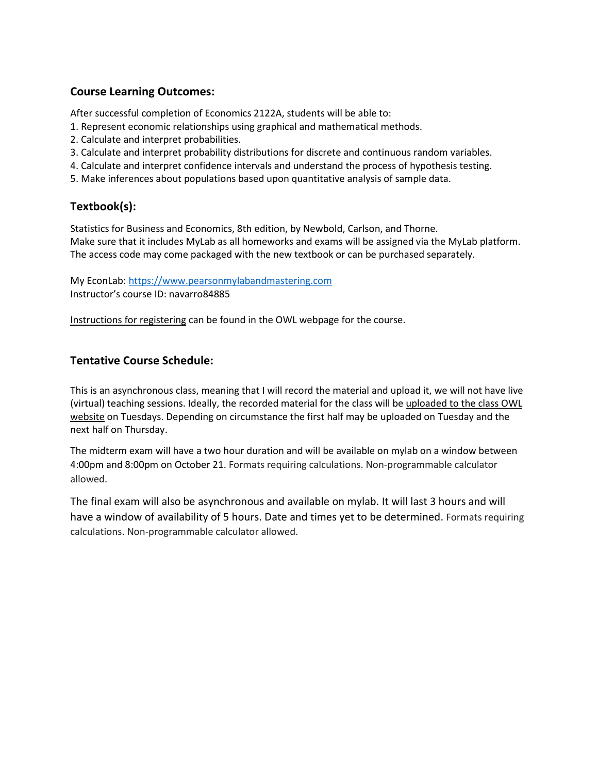# **Course Learning Outcomes:**

After successful completion of Economics 2122A, students will be able to:

- 1. Represent economic relationships using graphical and mathematical methods.
- 2. Calculate and interpret probabilities.
- 3. Calculate and interpret probability distributions for discrete and continuous random variables.
- 4. Calculate and interpret confidence intervals and understand the process of hypothesis testing.
- 5. Make inferences about populations based upon quantitative analysis of sample data.

# **Textbook(s):**

Statistics for Business and Economics, 8th edition, by Newbold, Carlson, and Thorne. Make sure that it includes MyLab as all homeworks and exams will be assigned via the MyLab platform. The access code may come packaged with the new textbook or can be purchased separately.

My EconLab[: https://www.pearsonmylabandmastering.com](https://www.pearsonmylabandmastering.com/) Instructor's course ID: navarro84885

Instructions for registering can be found in the OWL webpage for the course.

# **Tentative Course Schedule:**

This is an asynchronous class, meaning that I will record the material and upload it, we will not have live (virtual) teaching sessions. Ideally, the recorded material for the class will be uploaded to the class OWL website on Tuesdays. Depending on circumstance the first half may be uploaded on Tuesday and the next half on Thursday.

The midterm exam will have a two hour duration and will be available on mylab on a window between 4:00pm and 8:00pm on October 21. Formats requiring calculations. Non-programmable calculator allowed.

The final exam will also be asynchronous and available on mylab. It will last 3 hours and will have a window of availability of 5 hours. Date and times yet to be determined. Formats requiring calculations. Non-programmable calculator allowed.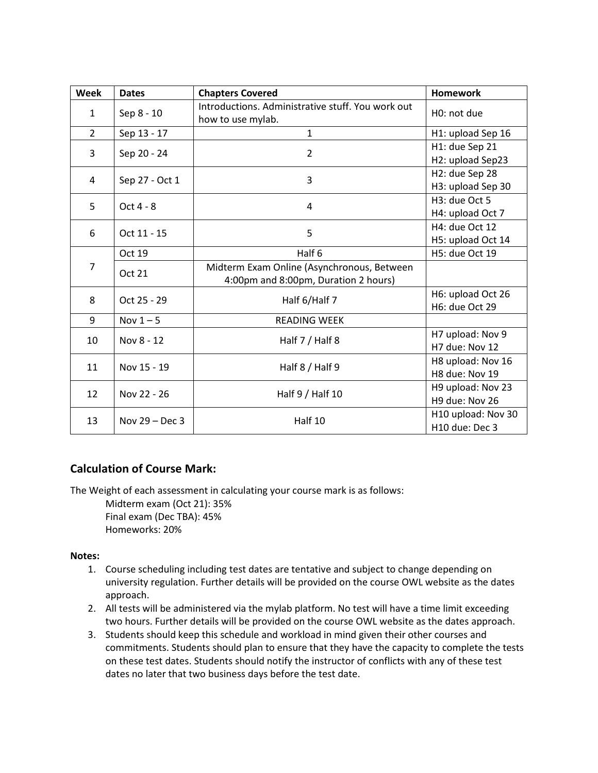| Week           | <b>Dates</b>     | <b>Chapters Covered</b>                                                            | <b>Homework</b>                                  |
|----------------|------------------|------------------------------------------------------------------------------------|--------------------------------------------------|
| $\mathbf{1}$   | Sep 8 - 10       | Introductions. Administrative stuff. You work out<br>how to use mylab.             | H <sub>0</sub> : not due                         |
| $\overline{2}$ | Sep 13 - 17      | $\mathbf{1}$                                                                       | H1: upload Sep 16                                |
| 3              | Sep 20 - 24      | $\overline{2}$                                                                     | H1: due Sep 21<br>H2: upload Sep23               |
| 4              | Sep 27 - Oct 1   | 3                                                                                  | H2: due Sep 28<br>H3: upload Sep 30              |
| 5              | Oct 4 - 8        | 4                                                                                  | H3: due Oct 5<br>H4: upload Oct 7                |
| 6              | Oct 11 - 15      | 5                                                                                  | H4: due Oct 12<br>H5: upload Oct 14              |
| 7              | Oct 19           | Half 6                                                                             | H5: due Oct 19                                   |
|                | <b>Oct 21</b>    | Midterm Exam Online (Asynchronous, Between<br>4:00pm and 8:00pm, Duration 2 hours) |                                                  |
| 8              | Oct 25 - 29      | Half 6/Half 7                                                                      | H6: upload Oct 26<br>H6: due Oct 29              |
| 9              | Nov $1-5$        | <b>READING WEEK</b>                                                                |                                                  |
| 10             | Nov 8 - 12       | Half 7 / Half 8                                                                    | H7 upload: Nov 9<br>H7 due: Nov 12               |
| 11             | Nov 15 - 19      | Half 8 / Half 9                                                                    | H8 upload: Nov 16<br>H8 due: Nov 19              |
| 12             | Nov 22 - 26      | Half 9 / Half 10                                                                   | H9 upload: Nov 23<br>H9 due: Nov 26              |
| 13             | Nov $29 - Dec 3$ | Half 10                                                                            | H10 upload: Nov 30<br>H <sub>10</sub> due: Dec 3 |

# **Calculation of Course Mark:**

The Weight of each assessment in calculating your course mark is as follows:

Midterm exam (Oct 21): 35% Final exam (Dec TBA): 45% Homeworks: 20%

#### **Notes:**

- 1. Course scheduling including test dates are tentative and subject to change depending on university regulation. Further details will be provided on the course OWL website as the dates approach.
- 2. All tests will be administered via the mylab platform. No test will have a time limit exceeding two hours. Further details will be provided on the course OWL website as the dates approach.
- 3. Students should keep this schedule and workload in mind given their other courses and commitments. Students should plan to ensure that they have the capacity to complete the tests on these test dates. Students should notify the instructor of conflicts with any of these test dates no later that two business days before the test date.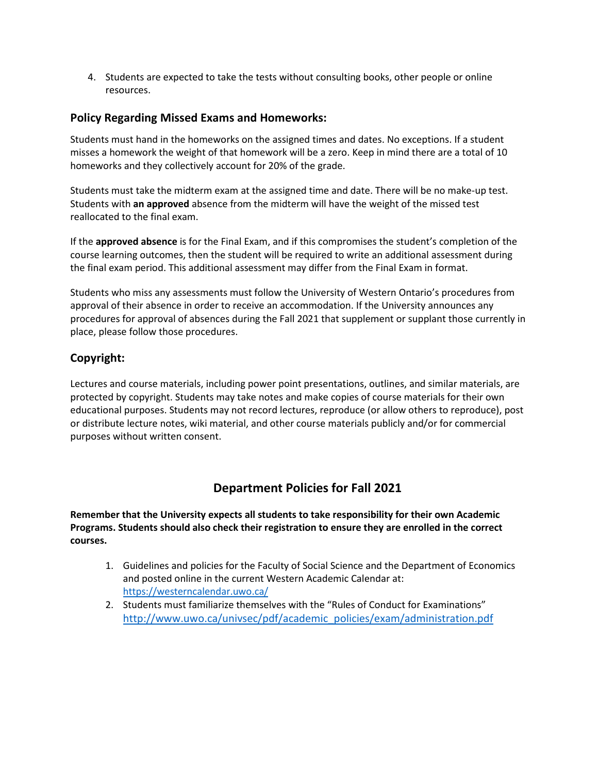4. Students are expected to take the tests without consulting books, other people or online resources.

#### **Policy Regarding Missed Exams and Homeworks:**

Students must hand in the homeworks on the assigned times and dates. No exceptions. If a student misses a homework the weight of that homework will be a zero. Keep in mind there are a total of 10 homeworks and they collectively account for 20% of the grade.

Students must take the midterm exam at the assigned time and date. There will be no make-up test. Students with **an approved** absence from the midterm will have the weight of the missed test reallocated to the final exam.

If the **approved absence** is for the Final Exam, and if this compromises the student's completion of the course learning outcomes, then the student will be required to write an additional assessment during the final exam period. This additional assessment may differ from the Final Exam in format.

Students who miss any assessments must follow the University of Western Ontario's procedures from approval of their absence in order to receive an accommodation. If the University announces any procedures for approval of absences during the Fall 2021 that supplement or supplant those currently in place, please follow those procedures.

#### **Copyright:**

Lectures and course materials, including power point presentations, outlines, and similar materials, are protected by copyright. Students may take notes and make copies of course materials for their own educational purposes. Students may not record lectures, reproduce (or allow others to reproduce), post or distribute lecture notes, wiki material, and other course materials publicly and/or for commercial purposes without written consent.

# **Department Policies for Fall 2021**

**Remember that the University expects all students to take responsibility for their own Academic Programs. Students should also check their registration to ensure they are enrolled in the correct courses.** 

- 1. Guidelines and policies for the Faculty of Social Science and the Department of Economics and posted online in the current Western Academic Calendar at: <https://westerncalendar.uwo.ca/>
- 2. Students must familiarize themselves with the "Rules of Conduct for Examinations" [http://www.uwo.ca/univsec/pdf/academic\\_policies/exam/administration.pdf](http://www.uwo.ca/univsec/pdf/academic_policies/exam/administration.pdf)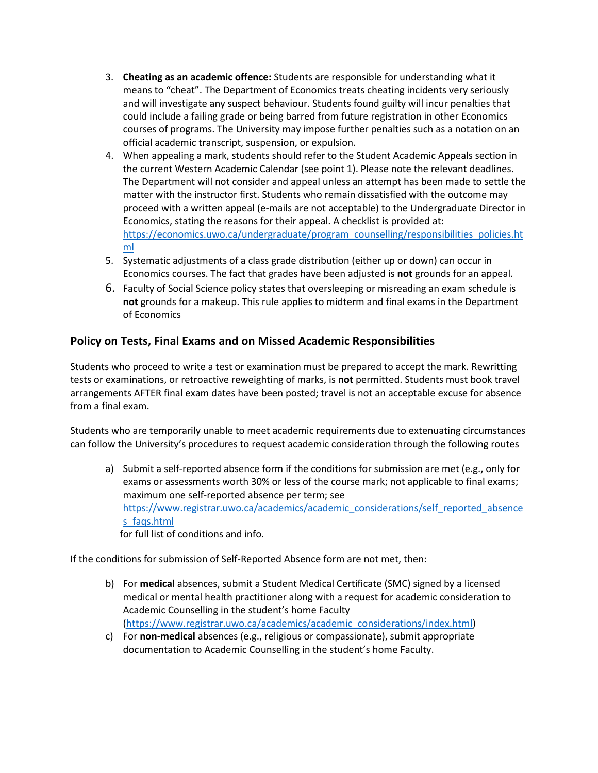- 3. **Cheating as an academic offence:** Students are responsible for understanding what it means to "cheat". The Department of Economics treats cheating incidents very seriously and will investigate any suspect behaviour. Students found guilty will incur penalties that could include a failing grade or being barred from future registration in other Economics courses of programs. The University may impose further penalties such as a notation on an official academic transcript, suspension, or expulsion.
- 4. When appealing a mark, students should refer to the Student Academic Appeals section in the current Western Academic Calendar (see point 1). Please note the relevant deadlines. The Department will not consider and appeal unless an attempt has been made to settle the matter with the instructor first. Students who remain dissatisfied with the outcome may proceed with a written appeal (e-mails are not acceptable) to the Undergraduate Director in Economics, stating the reasons for their appeal. A checklist is provided at: [https://economics.uwo.ca/undergraduate/program\\_counselling/responsibilities\\_policies.ht](https://economics.uwo.ca/undergraduate/program_counselling/responsibilities_policies.html) [ml](https://economics.uwo.ca/undergraduate/program_counselling/responsibilities_policies.html)
- 5. Systematic adjustments of a class grade distribution (either up or down) can occur in Economics courses. The fact that grades have been adjusted is **not** grounds for an appeal.
- 6. Faculty of Social Science policy states that oversleeping or misreading an exam schedule is **not** grounds for a makeup. This rule applies to midterm and final exams in the Department of Economics

# **Policy on Tests, Final Exams and on Missed Academic Responsibilities**

Students who proceed to write a test or examination must be prepared to accept the mark. Rewritting tests or examinations, or retroactive reweighting of marks, is **not** permitted. Students must book travel arrangements AFTER final exam dates have been posted; travel is not an acceptable excuse for absence from a final exam.

Students who are temporarily unable to meet academic requirements due to extenuating circumstances can follow the University's procedures to request academic consideration through the following routes

a) Submit a self-reported absence form if the conditions for submission are met (e.g., only for exams or assessments worth 30% or less of the course mark; not applicable to final exams; maximum one self-reported absence per term; see [https://www.registrar.uwo.ca/academics/academic\\_considerations/self\\_reported\\_absence](https://www.registrar.uwo.ca/academics/academic_considerations/self_reported_absences_faqs.html) s faqs.html for full list of conditions and info.

If the conditions for submission of Self-Reported Absence form are not met, then:

- b) For **medical** absences, submit a Student Medical Certificate (SMC) signed by a licensed medical or mental health practitioner along with a request for academic consideration to Academic Counselling in the student's home Faculty [\(https://www.registrar.uwo.ca/academics/academic\\_considerations/index.html\)](https://www.registrar.uwo.ca/academics/academic_considerations/index.html)
- c) For **non-medical** absences (e.g., religious or compassionate), submit appropriate documentation to Academic Counselling in the student's home Faculty.